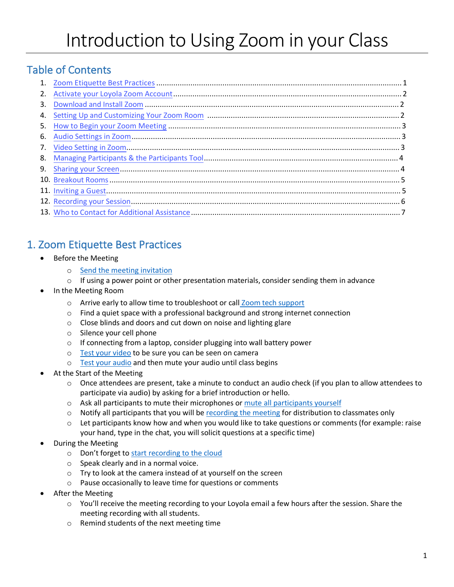# Table of Contents

| 2. |  |
|----|--|
| 3. |  |
|    |  |
| 5. |  |
|    |  |
|    |  |
|    |  |
|    |  |
|    |  |
|    |  |
|    |  |
|    |  |

# 1. Zoom Etiquette Best Practices

- Before the Meeting
	- o Send the meeting invitation
	- $\circ$  If using a power point or other presentation materials, consider sending them in advance
- In the Meeting Room
	- o Arrive early to allow time to troubleshoot or call Zoom tech support
	- $\circ$  Find a quiet space with a professional background and strong internet connection
	- o Close blinds and doors and cut down on noise and lighting glare
	- o Silence your cell phone
	- o If connecting from a laptop, consider plugging into wall battery power
	- o Test your video to be sure you can be seen on camera
	- o Test your audio and then mute your audio until class begins
- At the Start of the Meeting
	- o Once attendees are present, take a minute to conduct an audio check (if you plan to allow attendees to participate via audio) by asking for a brief introduction or hello.
	- o Ask all participants to mute their microphones or mute all participants yourself
	- $\circ$  Notify all participants that you will be recording the meeting for distribution to classmates only
	- $\circ$  Let participants know how and when you would like to take questions or comments (for example: raise your hand, type in the chat, you will solicit questions at a specific time)
- During the Meeting
	- o Don't forget to start recording to the cloud
	- o Speak clearly and in a normal voice.
	- o Try to look at the camera instead of at yourself on the screen
	- o Pause occasionally to leave time for questions or comments
- After the Meeting
	- $\circ$  You'll receive the meeting recording to your Loyola email a few hours after the session. Share the meeting recording with all students.
	- o Remind students of the next meeting time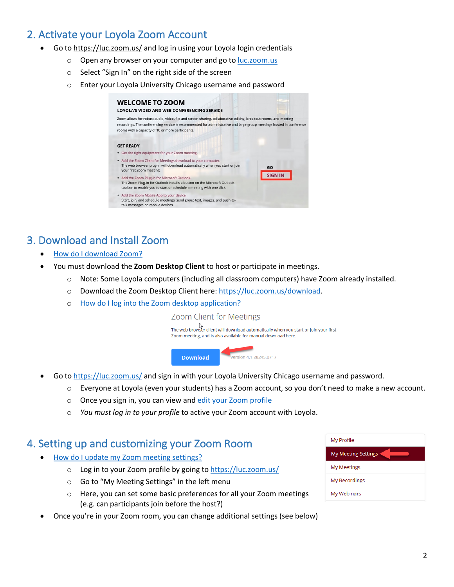## <span id="page-1-0"></span>2. Activate your Loyola Zoom Account

- Go to https://luc.zoom.us/ and log in using your Loyola login credentials
	- o Open any browser on your computer and go to luc.zoom.us
	- o Select "Sign In" on the right side of the screen
	- o Enter your Loyola University Chicago username and password

| <b>WELCOME TO ZOOM</b><br><b>LOYOLA'S VIDEO AND WEB CONFERENCING SERVICE</b>                                                                                                                                                                                                                  |                |
|-----------------------------------------------------------------------------------------------------------------------------------------------------------------------------------------------------------------------------------------------------------------------------------------------|----------------|
| Zoom allows for robust audio, video, file and screen sharing, collaborative editing, breakout rooms, and meeting<br>recordings. The conferencing service is recommended for administrative and large group meetings hosted in conference<br>rooms with a capacity of 10 or more participants. |                |
| <b>GET READY</b><br>• Get the right equipment for your Zoom meeting.                                                                                                                                                                                                                          |                |
| • Add the Zoom Client for Meetings download to your computer.<br>The web browser plug-in will download automatically when you start or join<br>your first Zoom meeting.                                                                                                                       | GO             |
| • Add the Zoom Plug-in for Microsoft Outlook.<br>The Zoom Plug-in for Outlook installs a button on the Microsoft Outlook<br>toolbar to enable you to start or schedule a meeting with one click.                                                                                              | <b>SIGN IN</b> |
| • Add the Zoom Mobile App to your device.<br>Start, join, and schedule meetings; send group text, images, and push-to-<br>talk messages on mobile devices.                                                                                                                                    |                |

### 3. Download and Install Zoom

- How do I download Zoom?
- You must download the **Zoom Desktop Client** to host or participate in meetings.
	- o Note: Some Loyola computers (including all classroom computers) have Zoom already installed.
	- o Download the Zoom Desktop Client here: https://luc.zoom.us/download.
	- o How do I log into the Zoom desktop application?

Zoom Client for Meetings

The web browser client will download automatically when you start or join your first Zoom meeting, and is also available for manual download here.



- Go to https://luc.zoom.us/ and sign in with your Loyola University Chicago username and password.
	- o Everyone at Loyola (even your students) has a Zoom account, so you don't need to make a new account.
	- o Once you sign in, you can view and edit your Zoom profile
	- o *You must log in to your profile* to active your Zoom account with Loyola.

#### 4. Setting up and customizing your Zoom Room

- How do I update my Zoom meeting settings?
	- o Log in to your Zoom profile by going to https://luc.zoom.us/
	- o Go to "My Meeting Settings" in the left menu
	- o Here, you can set some basic preferences for all your Zoom meetings (e.g. can participants join before the host?)
- Once you're in your Zoom room, you can change additional settings (see below)

| My Profile                 |  |  |  |
|----------------------------|--|--|--|
| <b>My Meeting Settings</b> |  |  |  |
| My Meetings                |  |  |  |
| My Recordings              |  |  |  |
| My Webinars                |  |  |  |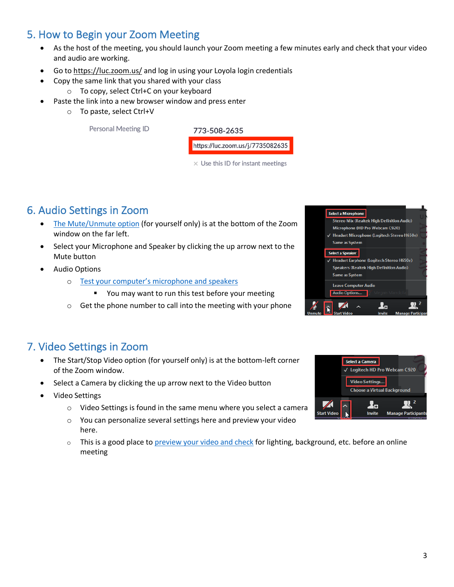#### <span id="page-2-0"></span>5. How to Begin your Zoom Meeting

- As the host of the meeting, you should launch your Zoom meeting a few minutes early and check that your video and audio are working.
- Go to https://luc.zoom.us/ and log in using your Loyola login credentials
	- Copy the same link that you shared with your class
		- o To copy, select Ctrl+C on your keyboard
- Paste the link into a new browser window and press enter
	- o To paste, select Ctrl+V

Personal Meeting ID



 $\times$  Use this ID for instant meetings

### 6. Audio Settings in Zoom

- The Mute/Unmute option (for yourself only) is at the bottom of the Zoom window on the far left.
- Select your Microphone and Speaker by clicking the up arrow next to the Mute button
- Audio Options
	- o Test your computer's microphone and speakers
		- You may want to run this test before your meeting
	- o Get the phone number to call into the meeting with your phone



- The Start/Stop Video option (for yourself only) is at the bottom-left corner of the Zoom window.
- Select a Camera by clicking the up arrow next to the Video button
- Video Settings
	- o Video Settings is found in the same menu where you select a camera
	- o You can personalize several settings here and preview your video here.
	- $\circ$  This is a good place to preview your video and check for lighting, background, etc. before an online meeting



Select a Microphone

Same as System Select a Speaker

> Same as System Leave Computer Audio Audio Options...

> > $\blacktriangleright$

Stereo Mix (Realtek High Definition Audio) Microphone (HD Pro Webcam C920) Headset Microphone (Logitech Stereo H650e)

Headset Earphone (Logitech Stereo H650e) Speakers (Realtek High Definition Audio)

<u>i.</u>

 $\mathbb{R}^2$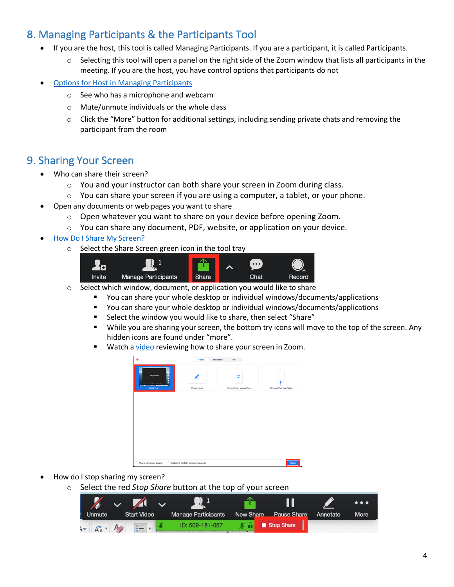## <span id="page-3-0"></span>8. Managing Participants & the Participants Tool

- If you are the host, this tool is called Managing Participants. If you are a participant, it is called Participants.
	- $\circ$  Selecting this tool will open a panel on the right side of the Zoom window that lists all participants in the meeting. If you are the host, you have control options that participants do not
- Options for Host in Managing Participants
	- o See who has a microphone and webcam
	- o Mute/unmute individuals or the whole class
	- $\circ$  Click the "More" button for additional settings, including sending private chats and removing the participant from the room

#### 9. Sharing Your Screen

- Who can share their screen?
	- o You and your instructor can both share your screen in Zoom during class.
	- o You can share your screen if you are using a computer, a tablet, or your phone.
- Open any documents or web pages you want to share
	- o Open whatever you want to share on your device before opening Zoom.
	- $\circ$  You can share any document, PDF, website, or application on your device.
- How Do I Share My Screen?
	- o Select the Share Screen green icon in the tool tray



- o Select which window, document, or application you would like to share
	- You can share your whole desktop or individual windows/documents/applications
	- § You can share your whole desktop or individual windows/documents/applications
	- Select the window you would like to share, then select "Share"
	- § While you are sharing your screen, the bottom try icons will move to the top of the screen. Any hidden icons are found under "more".
	- Watch a video reviewing how to share your screen in Zoom.



- How do I stop sharing my screen?
	- o Select the red *Stop Share* button at the top of your screen

| S               | $\sim$ $\sim$ |                    |                            |           |                    |          | $\bullet\bullet\bullet$ |
|-----------------|---------------|--------------------|----------------------------|-----------|--------------------|----------|-------------------------|
| Unmute          |               | <b>Start Video</b> | <b>Manage Participants</b> | New Share | <b>Pause Share</b> | Annotate | <b>More</b>             |
| $1 - A^2 + A^2$ |               |                    | ID: 509-181-057            | m<br>v.   | Stop Share         |          |                         |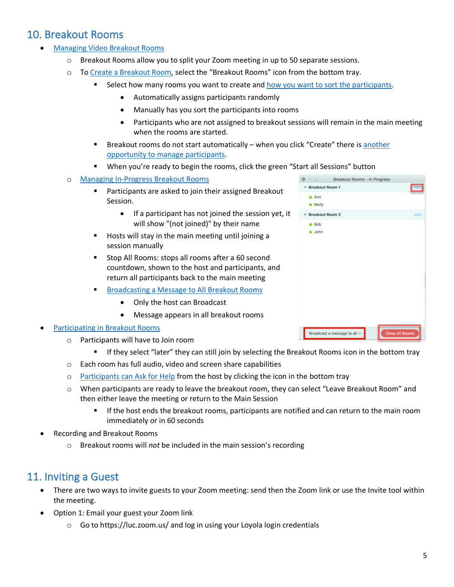### <span id="page-4-0"></span>10. Breakout Rooms

- Managing Video Breakout Rooms
	- $\circ$  Breakout Rooms allow you to split your Zoom meeting in up to 50 separate sessions.
	- o To Create a Breakout Room, select the "Breakout Rooms" icon from the bottom tray.
		- Select how many rooms you want to create and how you want to sort the participants.
			- Automatically assigns participants randomly
			- Manually has you sort the participants into rooms
			- Participants who are not assigned to breakout sessions will remain in the main meeting when the rooms are started.
		- Breakout rooms do not start automatically when you click "Create" there is another opportunity to manage participants.
		- When you're ready to begin the rooms, click the green "Start all Sessions" button
	- o Managing In-Progress Breakout Rooms
		- Participants are asked to join their assigned Breakout Session.
			- If a participant has not joined the session yet, it will show "(not joined)" by their name
		- Hosts will stay in the main meeting until joining a session manually
		- Stop All Rooms: stops all rooms after a 60 second countdown, shown to the host and participants, and return all participants back to the main meeting
		- § Broadcasting a Message to All Breakout Rooms
			- Only the host can Broadcast
			- Message appears in all breakout rooms

#### • Participating in Breakout Rooms

- o Participants will have to Join room
	- If they select "later" they can still join by selecting the Breakout Rooms icon in the bottom tray
- o Each room has full audio, video and screen share capabilities
- o Participants can Ask for Help from the host by clicking the icon in the bottom tray
- o When participants are ready to leave the breakout room, they can select "Leave Breakout Room" and then either leave the meeting or return to the Main Session
	- **•** If the host ends the breakout rooms, participants are notified and can return to the main room immediately or in 60 seconds
- Recording and Breakout Rooms
	- o Breakout rooms will *not* be included in the main session's recording

#### 11. Inviting a Guest

- There are two ways to invite guests to your Zoom meeting: send then the Zoom link or use the Invite tool within the meeting.
- Option 1: Email your guest your Zoom link
	- o Go to https://luc.zoom.us/ and log in using your Loyola login credentials

| $\circ$ $\circ$   | Breakout Rooms - In Progress        |                        |
|-------------------|-------------------------------------|------------------------|
| * Breakout Room 1 |                                     | Joir                   |
| Ann<br>Molly      |                                     |                        |
| * Breakout Room 2 |                                     | Join                   |
| 8<br>John         |                                     |                        |
|                   | Broadcast a message to all $\wedge$ | <b>Close All Rooms</b> |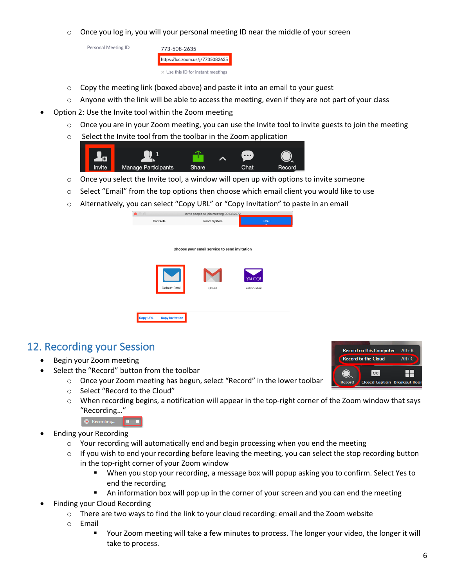<span id="page-5-0"></span> $\circ$  Once you log in, you will your personal meeting ID near the middle of your screen

Personal Meeting ID



- $\circ$  Copy the meeting link (boxed above) and paste it into an email to your guest
- $\circ$  Anyone with the link will be able to access the meeting, even if they are not part of your class
- Option 2: Use the Invite tool within the Zoom meeting
	- $\circ$  Once you are in your Zoom meeting, you can use the Invite tool to invite guests to join the meeting
	- o Select the Invite tool from the toolbar in the Zoom application



- o Once you select the Invite tool, a window will open up with options to invite someone
- $\circ$  Select "Email" from the top options then choose which email client you would like to use
- o Alternatively, you can select "Copy URL" or "Copy Invitation" to paste in an email

| $\circ$                                      | Invite people to join meeting 991382072 |                          |  |  |  |  |
|----------------------------------------------|-----------------------------------------|--------------------------|--|--|--|--|
| Contacts                                     | Room System                             | Email                    |  |  |  |  |
| Choose your email service to send invitation |                                         |                          |  |  |  |  |
| Default Email                                | Gmail                                   | YAHOO!<br>Yahoo Mail     |  |  |  |  |
| <b>Copy URL</b><br><b>Copy Invitation</b>    |                                         | <b>Contract Contract</b> |  |  |  |  |

#### 12. Recording your Session

- Begin your Zoom meeting
- Select the "Record" button from the toolbar
	- o Once your Zoom meeting has begun, select "Record" in the lower toolbar
	- o Select "Record to the Cloud"
	- $\circ$  When recording begins, a notification will appear in the top-right corner of the Zoom window that says "Recording…"



- Ending your Recording
	- $\circ$  Your recording will automatically end and begin processing when you end the meeting
	- $\circ$  If you wish to end your recording before leaving the meeting, you can select the stop recording button in the top-right corner of your Zoom window
		- When you stop your recording, a message box will popup asking you to confirm. Select Yes to end the recording
		- **An information box will pop up in the corner of your screen and you can end the meeting**
- Finding your Cloud Recording
	- $\circ$  There are two ways to find the link to your cloud recording: email and the Zoom website
	- o Email
		- Your Zoom meeting will take a few minutes to process. The longer your video, the longer it will take to process.